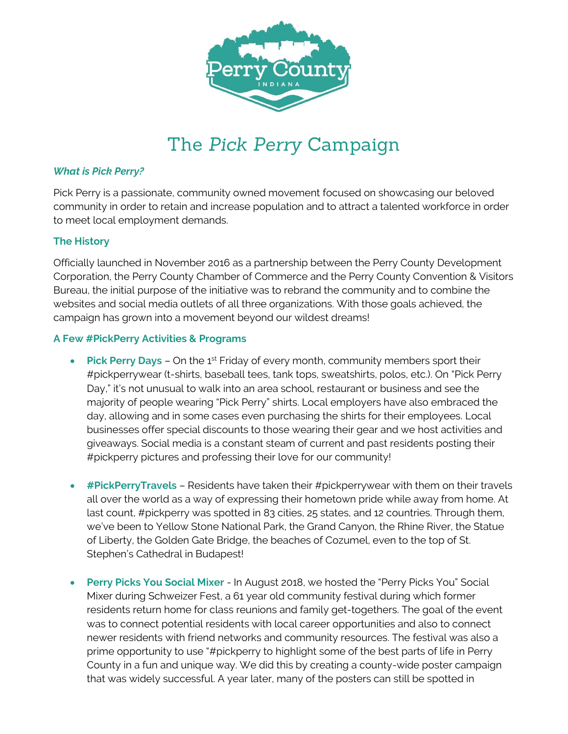

# The *Pick Perry* Campaign

#### *What is Pick Perry?*

Pick Perry is a passionate, community owned movement focused on showcasing our beloved community in order to retain and increase population and to attract a talented workforce in order to meet local employment demands.

#### **The History**

Officially launched in November 2016 as a partnership between the Perry County Development Corporation, the Perry County Chamber of Commerce and the Perry County Convention & Visitors Bureau, the initial purpose of the initiative was to rebrand the community and to combine the websites and social media outlets of all three organizations. With those goals achieved, the campaign has grown into a movement beyond our wildest dreams!

#### **A Few #PickPerry Activities & Programs**

- Pick Perry Days On the 1<sup>st</sup> Friday of every month, community members sport their #pickperrywear (t-shirts, baseball tees, tank tops, sweatshirts, polos, etc.). On "Pick Perry Day," it's not unusual to walk into an area school, restaurant or business and see the majority of people wearing "Pick Perry" shirts. Local employers have also embraced the day, allowing and in some cases even purchasing the shirts for their employees. Local businesses offer special discounts to those wearing their gear and we host activities and giveaways. Social media is a constant steam of current and past residents posting their #pickperry pictures and professing their love for our community!
- **#PickPerryTravels** Residents have taken their #pickperrywear with them on their travels all over the world as a way of expressing their hometown pride while away from home. At last count, #pickperry was spotted in 83 cities, 25 states, and 12 countries. Through them, we've been to Yellow Stone National Park, the Grand Canyon, the Rhine River, the Statue of Liberty, the Golden Gate Bridge, the beaches of Cozumel, even to the top of St. Stephen's Cathedral in Budapest!
- **Perry Picks You Social Mixer** In August 2018, we hosted the "Perry Picks You" Social Mixer during Schweizer Fest, a 61 year old community festival during which former residents return home for class reunions and family get-togethers. The goal of the event was to connect potential residents with local career opportunities and also to connect newer residents with friend networks and community resources. The festival was also a prime opportunity to use "#pickperry to highlight some of the best parts of life in Perry County in a fun and unique way. We did this by creating a county-wide poster campaign that was widely successful. A year later, many of the posters can still be spotted in